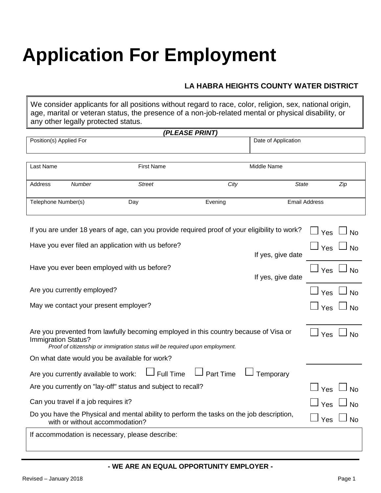# **Application For Employment**

### **LA HABRA HEIGHTS COUNTY WATER DISTRICT**

We consider applicants for all positions without regard to race, color, religion, sex, national origin, age, marital or veteran status, the presence of a non-job-related mental or physical disability, or any other legally protected status.

| (PLEASE PRINT)                                                                                                                                                                                                         |                                      |                                                              |                       |                     |                      |  |
|------------------------------------------------------------------------------------------------------------------------------------------------------------------------------------------------------------------------|--------------------------------------|--------------------------------------------------------------|-----------------------|---------------------|----------------------|--|
| Position(s) Applied For                                                                                                                                                                                                |                                      |                                                              |                       | Date of Application |                      |  |
|                                                                                                                                                                                                                        |                                      |                                                              |                       |                     |                      |  |
| Last Name                                                                                                                                                                                                              |                                      | <b>First Name</b>                                            |                       | Middle Name         |                      |  |
| Address                                                                                                                                                                                                                | Number                               | <b>Street</b>                                                | City                  | <b>State</b>        | Zip                  |  |
| Telephone Number(s)                                                                                                                                                                                                    |                                      | Day                                                          | Evening               |                     | <b>Email Address</b> |  |
| If you are under 18 years of age, can you provide required proof of your eligibility to work?<br>Yes<br>No                                                                                                             |                                      |                                                              |                       |                     |                      |  |
|                                                                                                                                                                                                                        |                                      | Have you ever filed an application with us before?           |                       |                     | Yes                  |  |
|                                                                                                                                                                                                                        |                                      |                                                              |                       | If yes, give date   |                      |  |
|                                                                                                                                                                                                                        |                                      | Have you ever been employed with us before?                  |                       | If yes, give date   | Yes<br>No            |  |
|                                                                                                                                                                                                                        | Are you currently employed?          |                                                              |                       |                     | Yes<br><b>No</b>     |  |
|                                                                                                                                                                                                                        |                                      | May we contact your present employer?                        |                       |                     | Yes<br>No            |  |
| Are you prevented from lawfully becoming employed in this country because of Visa or<br>Yes<br><b>No</b><br><b>Immigration Status?</b><br>Proof of citizenship or immigration status will be required upon employment. |                                      |                                                              |                       |                     |                      |  |
| On what date would you be available for work?                                                                                                                                                                          |                                      |                                                              |                       |                     |                      |  |
|                                                                                                                                                                                                                        | Are you currently available to work: | Full Time                                                    | $\lrcorner$ Part Time | Temporary           |                      |  |
|                                                                                                                                                                                                                        |                                      | Are you currently on "lay-off" status and subject to recall? |                       |                     | Yes<br><b>No</b>     |  |
|                                                                                                                                                                                                                        | Can you travel if a job requires it? |                                                              |                       |                     | No<br>Yes            |  |
| Do you have the Physical and mental ability to perform the tasks on the job description,<br>with or without accommodation?                                                                                             |                                      |                                                              |                       |                     | Yes<br><b>No</b>     |  |
| If accommodation is necessary, please describe:                                                                                                                                                                        |                                      |                                                              |                       |                     |                      |  |

#### **- WE ARE AN EQUAL OPPORTUNITY EMPLOYER -**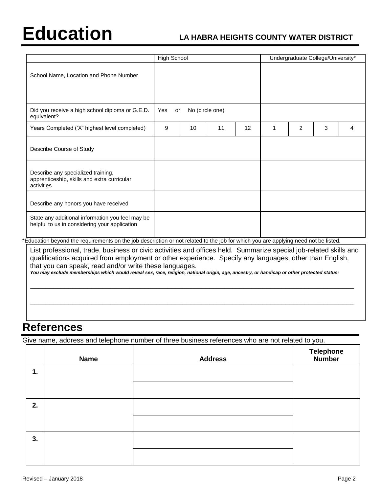# **Education LA HABRA HEIGHTS COUNTY WATER DISTRICT**

|                                                                                                   | <b>High School</b>           |    |    |    | Undergraduate College/University* |                |   |   |
|---------------------------------------------------------------------------------------------------|------------------------------|----|----|----|-----------------------------------|----------------|---|---|
| School Name, Location and Phone Number                                                            |                              |    |    |    |                                   |                |   |   |
| Did you receive a high school diploma or G.E.D.<br>equivalent?                                    | No (circle one)<br>Yes<br>or |    |    |    |                                   |                |   |   |
| Years Completed ('X" highest level completed)                                                     | 9                            | 10 | 11 | 12 | 1                                 | $\overline{2}$ | 3 | 4 |
| Describe Course of Study                                                                          |                              |    |    |    |                                   |                |   |   |
| Describe any specialized training,<br>apprenticeship, skills and extra curricular<br>activities   |                              |    |    |    |                                   |                |   |   |
| Describe any honors you have received                                                             |                              |    |    |    |                                   |                |   |   |
| State any additional information you feel may be<br>helpful to us in considering your application |                              |    |    |    |                                   |                |   |   |

\*Education beyond the requirements on the job description or not related to the job for which you are applying need not be listed.

List professional, trade, business or civic activities and offices held. Summarize special job-related skills and qualifications acquired from employment or other experience. Specify any languages, other than English, that you can speak, read and/or write these languages.

\_\_\_\_\_\_\_\_\_\_\_\_\_\_\_\_\_\_\_\_\_\_\_\_\_\_\_\_\_\_\_\_\_\_\_\_\_\_\_\_\_\_\_\_\_\_\_\_\_\_\_\_\_\_\_\_\_\_\_\_\_\_\_\_\_\_\_\_\_\_\_\_\_\_\_\_\_\_\_\_\_\_\_\_\_

\_\_\_\_\_\_\_\_\_\_\_\_\_\_\_\_\_\_\_\_\_\_\_\_\_\_\_\_\_\_\_\_\_\_\_\_\_\_\_\_\_\_\_\_\_\_\_\_\_\_\_\_\_\_\_\_\_\_\_\_\_\_\_\_\_\_\_\_\_\_\_\_\_\_\_\_\_\_\_\_\_\_\_\_\_

*You may exclude memberships which would reveal sex, race, religion, national origin, age, ancestry, or handicap or other protected status:*

## **References**

Give name, address and telephone number of three business references who are not related to you.

|    | <b>Name</b> | <b>Address</b> | <b>Telephone</b><br>Number |
|----|-------------|----------------|----------------------------|
| 1. |             |                |                            |
|    |             |                |                            |
| 2. |             |                |                            |
|    |             |                |                            |
| 3. |             |                |                            |
|    |             |                |                            |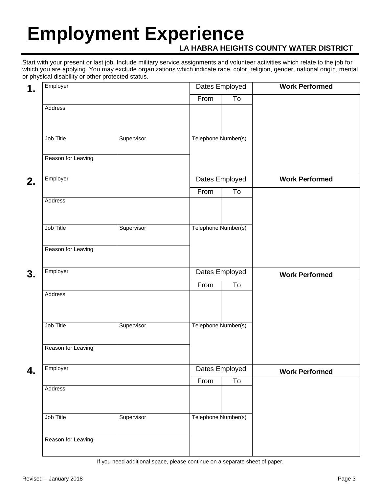# **Employment Experience**

### **LA HABRA HEIGHTS COUNTY WATER DISTRICT**

Start with your present or last job. Include military service assignments and volunteer activities which relate to the job for which you are applying. You may exclude organizations which indicate race, color, religion, gender, national origin, mental or physical disability or other protected status.

| 1. | Employer                | Dates Employed |                     |                           | <b>Work Performed</b> |  |
|----|-------------------------|----------------|---------------------|---------------------------|-----------------------|--|
|    |                         |                | From                | To                        |                       |  |
|    | Address                 |                |                     |                           |                       |  |
|    | Job Title<br>Supervisor |                | Telephone Number(s) |                           |                       |  |
|    | Reason for Leaving      |                |                     |                           |                       |  |
| 2. | Employer                |                | Dates Employed      |                           | <b>Work Performed</b> |  |
|    |                         |                | From                | To                        |                       |  |
|    | Address                 |                |                     |                           |                       |  |
|    | Job Title<br>Supervisor |                | Telephone Number(s) |                           |                       |  |
|    | Reason for Leaving      |                |                     |                           |                       |  |
| 3. | Employer                |                |                     | Dates Employed            | <b>Work Performed</b> |  |
|    |                         |                | From                | To                        |                       |  |
|    | Address                 |                |                     |                           |                       |  |
|    | Job Title               | Supervisor     | Telephone Number(s) |                           |                       |  |
|    | Reason for Leaving      |                |                     |                           |                       |  |
| 4. | Employer<br>Address     |                |                     | Dates Employed            | <b>Work Performed</b> |  |
|    |                         |                | From                | $\overline{\mathsf{T}}$ o |                       |  |
|    | Job Title               | Supervisor     | Telephone Number(s) |                           |                       |  |
|    | Reason for Leaving      |                |                     |                           |                       |  |

If you need additional space, please continue on a separate sheet of paper.